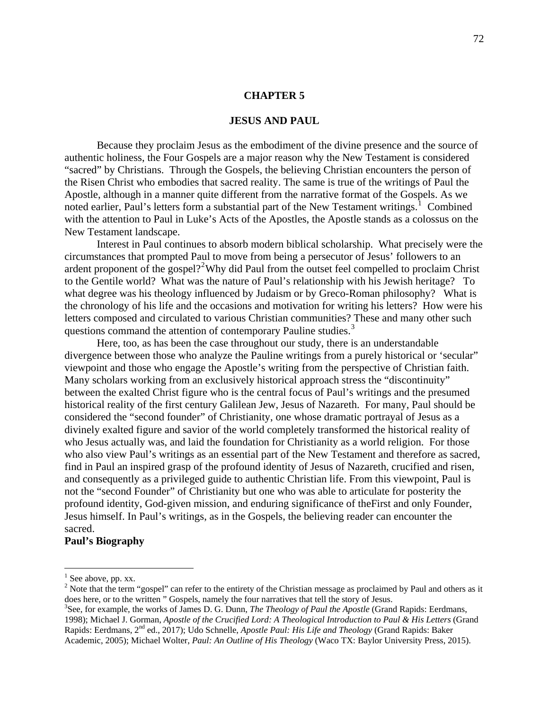### **CHAPTER 5**

### **JESUS AND PAUL**

Because they proclaim Jesus as the embodiment of the divine presence and the source of authentic holiness, the Four Gospels are a major reason why the New Testament is considered "sacred" by Christians. Through the Gospels, the believing Christian encounters the person of the Risen Christ who embodies that sacred reality. The same is true of the writings of Paul the Apostle, although in a manner quite different from the narrative format of the Gospels. As we noted earlier, Paul's letters form a substantial part of the New Testament writings.<sup>[1](#page-0-0)</sup> Combined with the attention to Paul in Luke's Acts of the Apostles, the Apostle stands as a colossus on the New Testament landscape.

 Interest in Paul continues to absorb modern biblical scholarship. What precisely were the circumstances that prompted Paul to move from being a persecutor of Jesus' followers to an ardent proponent of the gospel?<sup>[2](#page-0-1)</sup>Why did Paul from the outset feel compelled to proclaim Christ to the Gentile world? What was the nature of Paul's relationship with his Jewish heritage? To what degree was his theology influenced by Judaism or by Greco-Roman philosophy? What is the chronology of his life and the occasions and motivation for writing his letters? How were his letters composed and circulated to various Christian communities? These and many other such questions command the attention of contemporary Pauline studies.<sup>[3](#page-0-2)</sup>

 Here, too, as has been the case throughout our study, there is an understandable divergence between those who analyze the Pauline writings from a purely historical or 'secular" viewpoint and those who engage the Apostle's writing from the perspective of Christian faith. Many scholars working from an exclusively historical approach stress the "discontinuity" between the exalted Christ figure who is the central focus of Paul's writings and the presumed historical reality of the first century Galilean Jew, Jesus of Nazareth. For many, Paul should be considered the "second founder" of Christianity, one whose dramatic portrayal of Jesus as a divinely exalted figure and savior of the world completely transformed the historical reality of who Jesus actually was, and laid the foundation for Christianity as a world religion. For those who also view Paul's writings as an essential part of the New Testament and therefore as sacred, find in Paul an inspired grasp of the profound identity of Jesus of Nazareth, crucified and risen, and consequently as a privileged guide to authentic Christian life. From this viewpoint, Paul is not the "second Founder" of Christianity but one who was able to articulate for posterity the profound identity, God-given mission, and enduring significance of theFirst and only Founder, Jesus himself. In Paul's writings, as in the Gospels, the believing reader can encounter the sacred.

#### **Paul's Biography**

 $\overline{a}$ 

<span id="page-0-0"></span> $<sup>1</sup>$  See above, pp. xx.</sup>

<span id="page-0-1"></span><sup>&</sup>lt;sup>2</sup> Note that the term "gospel" can refer to the entirety of the Christian message as proclaimed by Paul and others as it does here, or to the written " Gospels, namely the four narratives that tell the story of Jesus.

<span id="page-0-2"></span><sup>&</sup>lt;sup>3</sup>See, for example, the works of James D. G. Dunn, *The Theology of Paul the Apostle* (Grand Rapids: Eerdmans, 1998); Michael J. Gorman, *Apostle of the Crucified Lord: A Theological Introduction to Paul & His Letters* (Grand Rapids: Eerdmans, 2nd ed., 2017); Udo Schnelle, *Apostle Paul: His Life and Theology* (Grand Rapids: Baker Academic, 2005); Michael Wolter, *Paul: An Outline of His Theology* (Waco TX: Baylor University Press, 2015).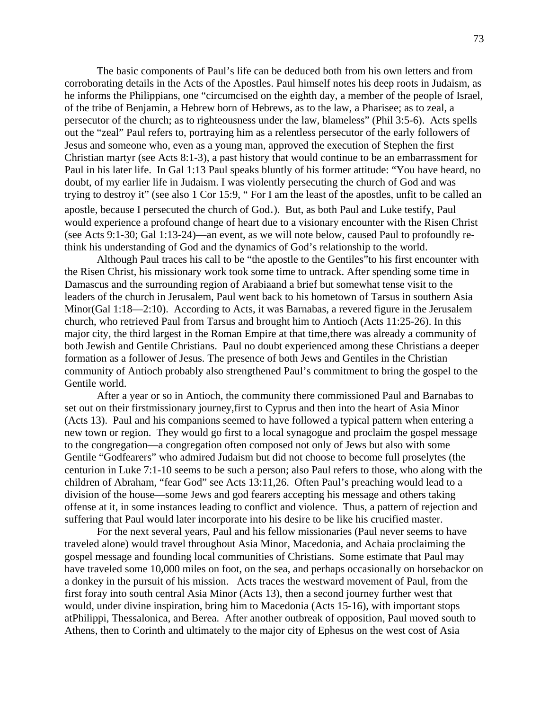The basic components of Paul's life can be deduced both from his own letters and from corroborating details in the Acts of the Apostles. Paul himself notes his deep roots in Judaism, as he informs the Philippians, one "circumcised on the eighth day, a member of the people of Israel, of the tribe of Benjamin, a Hebrew born of Hebrews, as to the law, a Pharisee; as to zeal, a persecutor of the church; as to righteousness under the law, blameless" (Phil 3:5-6). Acts spells out the "zeal" Paul refers to, portraying him as a relentless persecutor of the early followers of Jesus and someone who, even as a young man, approved the execution of Stephen the first Christian martyr (see Acts 8:1-3), a past history that would continue to be an embarrassment for Paul in his later life. In Gal 1:13 Paul speaks bluntly of his former attitude: "You have heard, no doubt, of my earlier life in Judaism. I was violently persecuting the church of God and was trying to destroy it" (see also 1 Cor 15:9, " For I am the least of the apostles, unfit to be called an apostle, because I persecuted the church of God.). But, as both Paul and Luke testify, Paul would experience a profound change of heart due to a visionary encounter with the Risen Christ (see Acts 9:1-30; Gal 1:13-24)—an event, as we will note below, caused Paul to profoundly rethink his understanding of God and the dynamics of God's relationship to the world.

 Although Paul traces his call to be "the apostle to the Gentiles"to his first encounter with the Risen Christ, his missionary work took some time to untrack. After spending some time in Damascus and the surrounding region of Arabiaand a brief but somewhat tense visit to the leaders of the church in Jerusalem, Paul went back to his hometown of Tarsus in southern Asia Minor(Gal 1:18—2:10). According to Acts, it was Barnabas, a revered figure in the Jerusalem church, who retrieved Paul from Tarsus and brought him to Antioch (Acts 11:25-26). In this major city, the third largest in the Roman Empire at that time,there was already a community of both Jewish and Gentile Christians. Paul no doubt experienced among these Christians a deeper formation as a follower of Jesus. The presence of both Jews and Gentiles in the Christian community of Antioch probably also strengthened Paul's commitment to bring the gospel to the Gentile world.

 After a year or so in Antioch, the community there commissioned Paul and Barnabas to set out on their firstmissionary journey,first to Cyprus and then into the heart of Asia Minor (Acts 13). Paul and his companions seemed to have followed a typical pattern when entering a new town or region. They would go first to a local synagogue and proclaim the gospel message to the congregation—a congregation often composed not only of Jews but also with some Gentile "Godfearers" who admired Judaism but did not choose to become full proselytes (the centurion in Luke 7:1-10 seems to be such a person; also Paul refers to those, who along with the children of Abraham, "fear God" see Acts 13:11,26. Often Paul's preaching would lead to a division of the house—some Jews and god fearers accepting his message and others taking offense at it, in some instances leading to conflict and violence. Thus, a pattern of rejection and suffering that Paul would later incorporate into his desire to be like his crucified master.

 For the next several years, Paul and his fellow missionaries (Paul never seems to have traveled alone) would travel throughout Asia Minor, Macedonia, and Achaia proclaiming the gospel message and founding local communities of Christians. Some estimate that Paul may have traveled some 10,000 miles on foot, on the sea, and perhaps occasionally on horsebackor on a donkey in the pursuit of his mission. Acts traces the westward movement of Paul, from the first foray into south central Asia Minor (Acts 13), then a second journey further west that would, under divine inspiration, bring him to Macedonia (Acts 15-16), with important stops atPhilippi, Thessalonica, and Berea. After another outbreak of opposition, Paul moved south to Athens, then to Corinth and ultimately to the major city of Ephesus on the west cost of Asia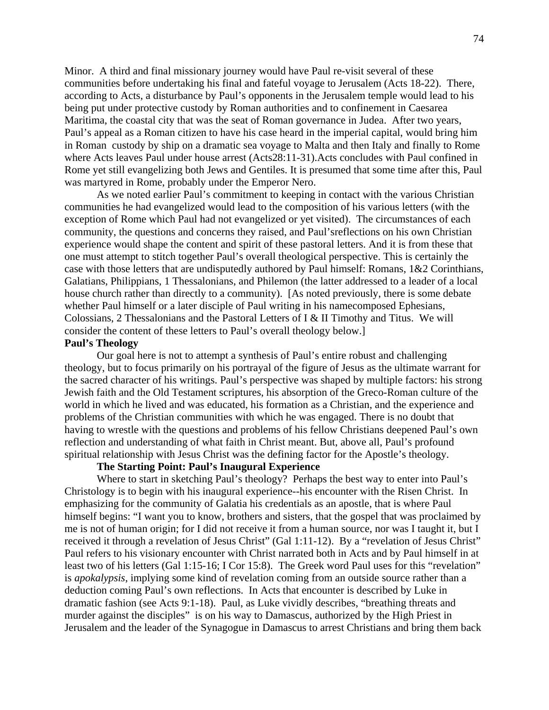Minor. A third and final missionary journey would have Paul re-visit several of these communities before undertaking his final and fateful voyage to Jerusalem (Acts 18-22). There, according to Acts, a disturbance by Paul's opponents in the Jerusalem temple would lead to his being put under protective custody by Roman authorities and to confinement in Caesarea Maritima, the coastal city that was the seat of Roman governance in Judea. After two years, Paul's appeal as a Roman citizen to have his case heard in the imperial capital, would bring him in Roman custody by ship on a dramatic sea voyage to Malta and then Italy and finally to Rome where Acts leaves Paul under house arrest (Acts28:11-31).Acts concludes with Paul confined in Rome yet still evangelizing both Jews and Gentiles. It is presumed that some time after this, Paul was martyred in Rome, probably under the Emperor Nero.

 As we noted earlier Paul's commitment to keeping in contact with the various Christian communities he had evangelized would lead to the composition of his various letters (with the exception of Rome which Paul had not evangelized or yet visited). The circumstances of each community, the questions and concerns they raised, and Paul'sreflections on his own Christian experience would shape the content and spirit of these pastoral letters. And it is from these that one must attempt to stitch together Paul's overall theological perspective. This is certainly the case with those letters that are undisputedly authored by Paul himself: Romans, 1&2 Corinthians, Galatians, Philippians, 1 Thessalonians, and Philemon (the latter addressed to a leader of a local house church rather than directly to a community). [As noted previously, there is some debate whether Paul himself or a later disciple of Paul writing in his namecomposed Ephesians, Colossians, 2 Thessalonians and the Pastoral Letters of I & II Timothy and Titus. We will consider the content of these letters to Paul's overall theology below.]

#### **Paul's Theology**

 Our goal here is not to attempt a synthesis of Paul's entire robust and challenging theology, but to focus primarily on his portrayal of the figure of Jesus as the ultimate warrant for the sacred character of his writings. Paul's perspective was shaped by multiple factors: his strong Jewish faith and the Old Testament scriptures, his absorption of the Greco-Roman culture of the world in which he lived and was educated, his formation as a Christian, and the experience and problems of the Christian communities with which he was engaged. There is no doubt that having to wrestle with the questions and problems of his fellow Christians deepened Paul's own reflection and understanding of what faith in Christ meant. But, above all, Paul's profound spiritual relationship with Jesus Christ was the defining factor for the Apostle's theology.

# **The Starting Point: Paul's Inaugural Experience**

 Where to start in sketching Paul's theology? Perhaps the best way to enter into Paul's Christology is to begin with his inaugural experience--his encounter with the Risen Christ. In emphasizing for the community of Galatia his credentials as an apostle, that is where Paul himself begins: "I want you to know, brothers and sisters, that the gospel that was proclaimed by me is not of human origin; for I did not receive it from a human source, nor was I taught it, but I received it through a revelation of Jesus Christ" (Gal 1:11-12). By a "revelation of Jesus Christ" Paul refers to his visionary encounter with Christ narrated both in Acts and by Paul himself in at least two of his letters (Gal 1:15-16; I Cor 15:8). The Greek word Paul uses for this "revelation" is *apokalypsis*, implying some kind of revelation coming from an outside source rather than a deduction coming Paul's own reflections. In Acts that encounter is described by Luke in dramatic fashion (see Acts 9:1-18). Paul, as Luke vividly describes, "breathing threats and murder against the disciples" is on his way to Damascus, authorized by the High Priest in Jerusalem and the leader of the Synagogue in Damascus to arrest Christians and bring them back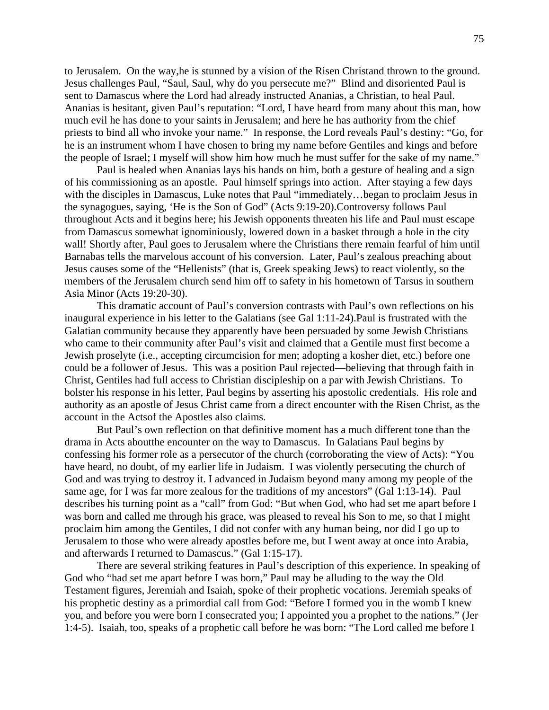to Jerusalem. On the way,he is stunned by a vision of the Risen Christand thrown to the ground. Jesus challenges Paul, "Saul, Saul, why do you persecute me?" Blind and disoriented Paul is sent to Damascus where the Lord had already instructed Ananias, a Christian, to heal Paul. Ananias is hesitant, given Paul's reputation: "Lord, I have heard from many about this man, how much evil he has done to your saints in Jerusalem; and here he has authority from the chief priests to bind all who invoke your name." In response, the Lord reveals Paul's destiny: "Go, for he is an instrument whom I have chosen to bring my name before Gentiles and kings and before the people of Israel; I myself will show him how much he must suffer for the sake of my name."

 Paul is healed when Ananias lays his hands on him, both a gesture of healing and a sign of his commissioning as an apostle. Paul himself springs into action. After staying a few days with the disciples in Damascus, Luke notes that Paul "immediately...began to proclaim Jesus in the synagogues, saying, 'He is the Son of God" (Acts 9:19-20).Controversy follows Paul throughout Acts and it begins here; his Jewish opponents threaten his life and Paul must escape from Damascus somewhat ignominiously, lowered down in a basket through a hole in the city wall! Shortly after, Paul goes to Jerusalem where the Christians there remain fearful of him until Barnabas tells the marvelous account of his conversion. Later, Paul's zealous preaching about Jesus causes some of the "Hellenists" (that is, Greek speaking Jews) to react violently, so the members of the Jerusalem church send him off to safety in his hometown of Tarsus in southern Asia Minor (Acts 19:20-30).

 This dramatic account of Paul's conversion contrasts with Paul's own reflections on his inaugural experience in his letter to the Galatians (see Gal 1:11-24).Paul is frustrated with the Galatian community because they apparently have been persuaded by some Jewish Christians who came to their community after Paul's visit and claimed that a Gentile must first become a Jewish proselyte (i.e., accepting circumcision for men; adopting a kosher diet, etc.) before one could be a follower of Jesus. This was a position Paul rejected—believing that through faith in Christ, Gentiles had full access to Christian discipleship on a par with Jewish Christians. To bolster his response in his letter, Paul begins by asserting his apostolic credentials. His role and authority as an apostle of Jesus Christ came from a direct encounter with the Risen Christ, as the account in the Actsof the Apostles also claims.

 But Paul's own reflection on that definitive moment has a much different tone than the drama in Acts aboutthe encounter on the way to Damascus. In Galatians Paul begins by confessing his former role as a persecutor of the church (corroborating the view of Acts): "You have heard, no doubt, of my earlier life in Judaism. I was violently persecuting the church of God and was trying to destroy it. I advanced in Judaism beyond many among my people of the same age, for I was far more zealous for the traditions of my ancestors" (Gal 1:13-14). Paul describes his turning point as a "call" from God: "But when God, who had set me apart before I was born and called me through his grace, was pleased to reveal his Son to me, so that I might proclaim him among the Gentiles, I did not confer with any human being, nor did I go up to Jerusalem to those who were already apostles before me, but I went away at once into Arabia, and afterwards I returned to Damascus." (Gal 1:15-17).

 There are several striking features in Paul's description of this experience. In speaking of God who "had set me apart before I was born," Paul may be alluding to the way the Old Testament figures, Jeremiah and Isaiah, spoke of their prophetic vocations. Jeremiah speaks of his prophetic destiny as a primordial call from God: "Before I formed you in the womb I knew you, and before you were born I consecrated you; I appointed you a prophet to the nations." (Jer 1:4-5). Isaiah, too, speaks of a prophetic call before he was born: "The Lord called me before I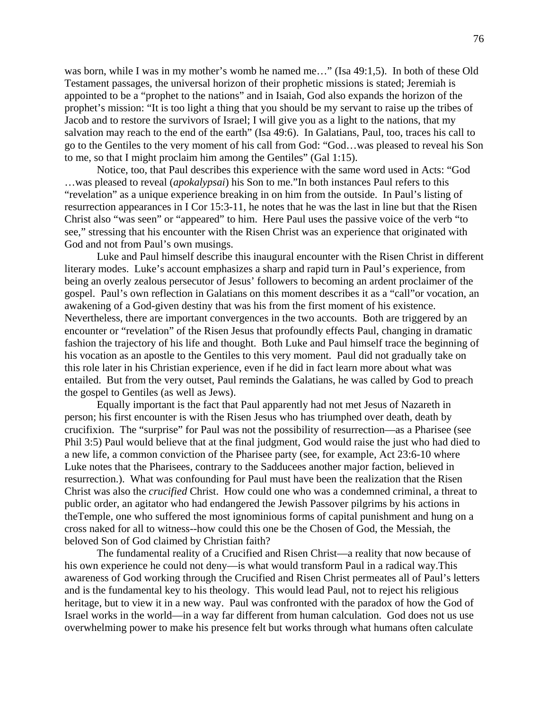was born, while I was in my mother's womb he named me…" (Isa 49:1,5). In both of these Old Testament passages, the universal horizon of their prophetic missions is stated; Jeremiah is appointed to be a "prophet to the nations" and in Isaiah, God also expands the horizon of the prophet's mission: "It is too light a thing that you should be my servant to raise up the tribes of Jacob and to restore the survivors of Israel; I will give you as a light to the nations, that my salvation may reach to the end of the earth" (Isa 49:6). In Galatians, Paul, too, traces his call to go to the Gentiles to the very moment of his call from God: "God…was pleased to reveal his Son to me, so that I might proclaim him among the Gentiles" (Gal 1:15).

 Notice, too, that Paul describes this experience with the same word used in Acts: "God …was pleased to reveal (*apokalypsai*) his Son to me."In both instances Paul refers to this "revelation" as a unique experience breaking in on him from the outside. In Paul's listing of resurrection appearances in I Cor 15:3-11, he notes that he was the last in line but that the Risen Christ also "was seen" or "appeared" to him. Here Paul uses the passive voice of the verb "to see," stressing that his encounter with the Risen Christ was an experience that originated with God and not from Paul's own musings.

 Luke and Paul himself describe this inaugural encounter with the Risen Christ in different literary modes. Luke's account emphasizes a sharp and rapid turn in Paul's experience, from being an overly zealous persecutor of Jesus' followers to becoming an ardent proclaimer of the gospel. Paul's own reflection in Galatians on this moment describes it as a "call"or vocation, an awakening of a God-given destiny that was his from the first moment of his existence. Nevertheless, there are important convergences in the two accounts. Both are triggered by an encounter or "revelation" of the Risen Jesus that profoundly effects Paul, changing in dramatic fashion the trajectory of his life and thought. Both Luke and Paul himself trace the beginning of his vocation as an apostle to the Gentiles to this very moment. Paul did not gradually take on this role later in his Christian experience, even if he did in fact learn more about what was entailed. But from the very outset, Paul reminds the Galatians, he was called by God to preach the gospel to Gentiles (as well as Jews).

 Equally important is the fact that Paul apparently had not met Jesus of Nazareth in person; his first encounter is with the Risen Jesus who has triumphed over death, death by crucifixion. The "surprise" for Paul was not the possibility of resurrection—as a Pharisee (see Phil 3:5) Paul would believe that at the final judgment, God would raise the just who had died to a new life, a common conviction of the Pharisee party (see, for example, Act 23:6-10 where Luke notes that the Pharisees, contrary to the Sadducees another major faction, believed in resurrection.). What was confounding for Paul must have been the realization that the Risen Christ was also the *crucified* Christ. How could one who was a condemned criminal, a threat to public order, an agitator who had endangered the Jewish Passover pilgrims by his actions in theTemple, one who suffered the most ignominious forms of capital punishment and hung on a cross naked for all to witness--how could this one be the Chosen of God, the Messiah, the beloved Son of God claimed by Christian faith?

 The fundamental reality of a Crucified and Risen Christ—a reality that now because of his own experience he could not deny—is what would transform Paul in a radical way.This awareness of God working through the Crucified and Risen Christ permeates all of Paul's letters and is the fundamental key to his theology. This would lead Paul, not to reject his religious heritage, but to view it in a new way. Paul was confronted with the paradox of how the God of Israel works in the world—in a way far different from human calculation. God does not us use overwhelming power to make his presence felt but works through what humans often calculate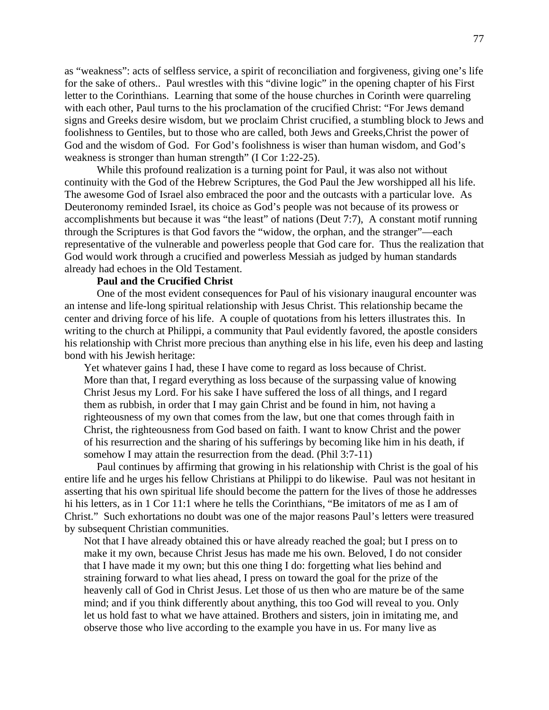as "weakness": acts of selfless service, a spirit of reconciliation and forgiveness, giving one's life for the sake of others.. Paul wrestles with this "divine logic" in the opening chapter of his First letter to the Corinthians. Learning that some of the house churches in Corinth were quarreling with each other, Paul turns to the his proclamation of the crucified Christ: "For Jews demand signs and Greeks desire wisdom, but we proclaim Christ crucified, a stumbling block to Jews and foolishness to Gentiles, but to those who are called, both Jews and Greeks,Christ the power of God and the wisdom of God. For God's foolishness is wiser than human wisdom, and God's weakness is stronger than human strength" (I Cor 1:22-25).

 While this profound realization is a turning point for Paul, it was also not without continuity with the God of the Hebrew Scriptures, the God Paul the Jew worshipped all his life. The awesome God of Israel also embraced the poor and the outcasts with a particular love. As Deuteronomy reminded Israel, its choice as God's people was not because of its prowess or accomplishments but because it was "the least" of nations (Deut 7:7), A constant motif running through the Scriptures is that God favors the "widow, the orphan, and the stranger"—each representative of the vulnerable and powerless people that God care for. Thus the realization that God would work through a crucified and powerless Messiah as judged by human standards already had echoes in the Old Testament.

## **Paul and the Crucified Christ**

 One of the most evident consequences for Paul of his visionary inaugural encounter was an intense and life-long spiritual relationship with Jesus Christ. This relationship became the center and driving force of his life. A couple of quotations from his letters illustrates this. In writing to the church at Philippi, a community that Paul evidently favored, the apostle considers his relationship with Christ more precious than anything else in his life, even his deep and lasting bond with his Jewish heritage:

Yet whatever gains I had, these I have come to regard as loss because of Christ. More than that, I regard everything as loss because of the surpassing value of knowing Christ Jesus my Lord. For his sake I have suffered the loss of all things, and I regard them as rubbish, in order that I may gain Christ and be found in him, not having a righteousness of my own that comes from the law, but one that comes through faith in Christ, the righteousness from God based on faith. I want to know Christ and the power of his resurrection and the sharing of his sufferings by becoming like him in his death, if somehow I may attain the resurrection from the dead. (Phil 3:7-11)

 Paul continues by affirming that growing in his relationship with Christ is the goal of his entire life and he urges his fellow Christians at Philippi to do likewise. Paul was not hesitant in asserting that his own spiritual life should become the pattern for the lives of those he addresses hi his letters, as in 1 Cor 11:1 where he tells the Corinthians, "Be imitators of me as I am of Christ." Such exhortations no doubt was one of the major reasons Paul's letters were treasured by subsequent Christian communities.

Not that I have already obtained this or have already reached the goal; but I press on to make it my own, because Christ Jesus has made me his own. Beloved, I do not consider that I have made it my own; but this one thing I do: forgetting what lies behind and straining forward to what lies ahead, I press on toward the goal for the prize of the heavenly call of God in Christ Jesus. Let those of us then who are mature be of the same mind; and if you think differently about anything, this too God will reveal to you. Only let us hold fast to what we have attained. Brothers and sisters, join in imitating me, and observe those who live according to the example you have in us. For many live as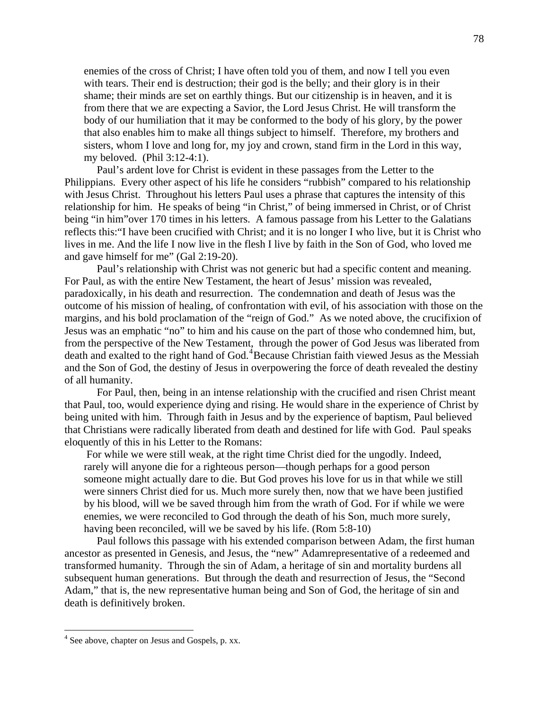enemies of the cross of Christ; I have often told you of them, and now I tell you even with tears. Their end is destruction; their god is the belly; and their glory is in their shame; their minds are set on earthly things. But our citizenship is in heaven, and it is from there that we are expecting a Savior, the Lord Jesus Christ. He will transform the body of our humiliation that it may be conformed to the body of his glory, by the power that also enables him to make all things subject to himself. Therefore, my brothers and sisters, whom I love and long for, my joy and crown, stand firm in the Lord in this way, my beloved. (Phil 3:12-4:1).

 Paul's ardent love for Christ is evident in these passages from the Letter to the Philippians. Every other aspect of his life he considers "rubbish" compared to his relationship with Jesus Christ. Throughout his letters Paul uses a phrase that captures the intensity of this relationship for him. He speaks of being "in Christ," of being immersed in Christ, or of Christ being "in him" over 170 times in his letters. A famous passage from his Letter to the Galatians reflects this:"I have been crucified with Christ; and it is no longer I who live, but it is Christ who lives in me. And the life I now live in the flesh I live by faith in the Son of God, who loved me and gave himself for me" (Gal 2:19-20).

 Paul's relationship with Christ was not generic but had a specific content and meaning. For Paul, as with the entire New Testament, the heart of Jesus' mission was revealed, paradoxically, in his death and resurrection. The condemnation and death of Jesus was the outcome of his mission of healing, of confrontation with evil, of his association with those on the margins, and his bold proclamation of the "reign of God." As we noted above, the crucifixion of Jesus was an emphatic "no" to him and his cause on the part of those who condemned him, but, from the perspective of the New Testament, through the power of God Jesus was liberated from death and exalted to the right hand of God.<sup>[4](#page-6-0)</sup> Because Christian faith viewed Jesus as the Messiah and the Son of God, the destiny of Jesus in overpowering the force of death revealed the destiny of all humanity.

 For Paul, then, being in an intense relationship with the crucified and risen Christ meant that Paul, too, would experience dying and rising. He would share in the experience of Christ by being united with him. Through faith in Jesus and by the experience of baptism, Paul believed that Christians were radically liberated from death and destined for life with God. Paul speaks eloquently of this in his Letter to the Romans:

 For while we were still weak, at the right time Christ died for the ungodly. Indeed, rarely will anyone die for a righteous person—though perhaps for a good person someone might actually dare to die. But God proves his love for us in that while we still were sinners Christ died for us. Much more surely then, now that we have been justified by his blood, will we be saved through him from the wrath of God. For if while we were enemies, we were reconciled to God through the death of his Son, much more surely, having been reconciled, will we be saved by his life. (Rom 5:8-10)

 Paul follows this passage with his extended comparison between Adam, the first human ancestor as presented in Genesis, and Jesus, the "new" Adamrepresentative of a redeemed and transformed humanity. Through the sin of Adam, a heritage of sin and mortality burdens all subsequent human generations. But through the death and resurrection of Jesus, the "Second Adam," that is, the new representative human being and Son of God, the heritage of sin and death is definitively broken.

 $\overline{a}$ 

<span id="page-6-0"></span><sup>&</sup>lt;sup>4</sup> See above, chapter on Jesus and Gospels, p. xx.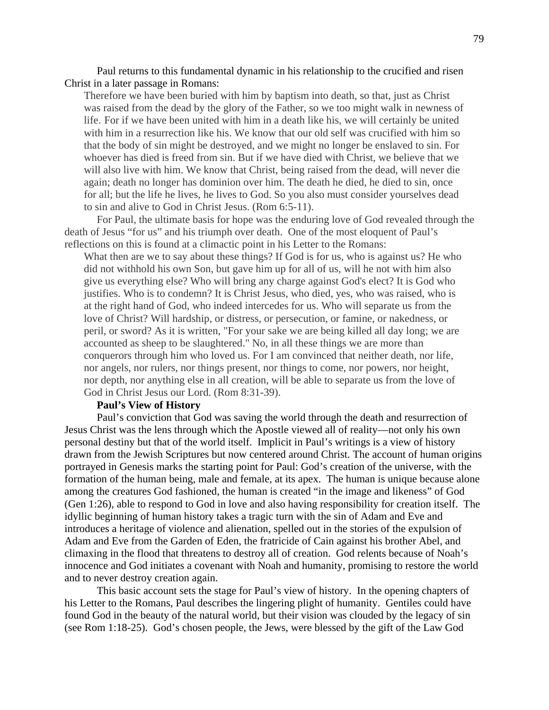Paul returns to this fundamental dynamic in his relationship to the crucified and risen Christ in a later passage in Romans:

Therefore we have been buried with him by baptism into death, so that, just as Christ was raised from the dead by the glory of the Father, so we too might walk in newness of life. For if we have been united with him in a death like his, we will certainly be united with him in a resurrection like his. We know that our old self was crucified with him so that the body of sin might be destroyed, and we might no longer be enslaved to sin. For whoever has died is freed from sin. But if we have died with Christ, we believe that we will also live with him. We know that Christ, being raised from the dead, will never die again; death no longer has dominion over him. The death he died, he died to sin, once for all; but the life he lives, he lives to God. So you also must consider yourselves dead to sin and alive to God in Christ Jesus. (Rom 6:5-11).

 For Paul, the ultimate basis for hope was the enduring love of God revealed through the death of Jesus "for us" and his triumph over death. One of the most eloquent of Paul's reflections on this is found at a climactic point in his Letter to the Romans:

What then are we to say about these things? If God is for us, who is against us? He who did not withhold his own Son, but gave him up for all of us, will he not with him also give us everything else? Who will bring any charge against God's elect? It is God who justifies. Who is to condemn? It is Christ Jesus, who died, yes, who was raised, who is at the right hand of God, who indeed intercedes for us. Who will separate us from the love of Christ? Will hardship, or distress, or persecution, or famine, or nakedness, or peril, or sword? As it is written, "For your sake we are being killed all day long; we are accounted as sheep to be slaughtered." No, in all these things we are more than conquerors through him who loved us. For I am convinced that neither death, nor life, nor angels, nor rulers, nor things present, nor things to come, nor powers, nor height, nor depth, nor anything else in all creation, will be able to separate us from the love of God in Christ Jesus our Lord. (Rom 8:31-39).

#### **Paul's View of History**

 Paul's conviction that God was saving the world through the death and resurrection of Jesus Christ was the lens through which the Apostle viewed all of reality—not only his own personal destiny but that of the world itself. Implicit in Paul's writings is a view of history drawn from the Jewish Scriptures but now centered around Christ. The account of human origins portrayed in Genesis marks the starting point for Paul: God's creation of the universe, with the formation of the human being, male and female, at its apex. The human is unique because alone among the creatures God fashioned, the human is created "in the image and likeness" of God (Gen 1:26), able to respond to God in love and also having responsibility for creation itself. The idyllic beginning of human history takes a tragic turn with the sin of Adam and Eve and introduces a heritage of violence and alienation, spelled out in the stories of the expulsion of Adam and Eve from the Garden of Eden, the fratricide of Cain against his brother Abel, and climaxing in the flood that threatens to destroy all of creation. God relents because of Noah's innocence and God initiates a covenant with Noah and humanity, promising to restore the world and to never destroy creation again.

 This basic account sets the stage for Paul's view of history. In the opening chapters of his Letter to the Romans, Paul describes the lingering plight of humanity. Gentiles could have found God in the beauty of the natural world, but their vision was clouded by the legacy of sin (see Rom 1:18-25). God's chosen people, the Jews, were blessed by the gift of the Law God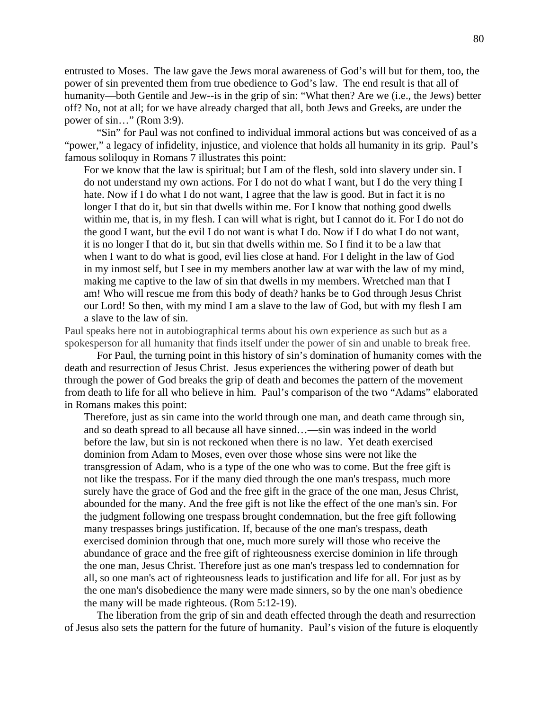entrusted to Moses. The law gave the Jews moral awareness of God's will but for them, too, the power of sin prevented them from true obedience to God's law. The end result is that all of humanity—both Gentile and Jew--is in the grip of sin: "What then? Are we (i.e., the Jews) better off? No, not at all; for we have already charged that all, both Jews and Greeks, are under the power of sin…" (Rom 3:9).

 "Sin" for Paul was not confined to individual immoral actions but was conceived of as a "power," a legacy of infidelity, injustice, and violence that holds all humanity in its grip. Paul's famous soliloquy in Romans 7 illustrates this point:

For we know that the law is spiritual; but I am of the flesh, sold into slavery under sin. I do not understand my own actions. For I do not do what I want, but I do the very thing I hate. Now if I do what I do not want, I agree that the law is good. But in fact it is no longer I that do it, but sin that dwells within me. For I know that nothing good dwells within me, that is, in my flesh. I can will what is right, but I cannot do it. For I do not do the good I want, but the evil I do not want is what I do. Now if I do what I do not want, it is no longer I that do it, but sin that dwells within me. So I find it to be a law that when I want to do what is good, evil lies close at hand. For I delight in the law of God in my inmost self, but I see in my members another law at war with the law of my mind, making me captive to the law of sin that dwells in my members. Wretched man that I am! Who will rescue me from this body of death? hanks be to God through Jesus Christ our Lord! So then, with my mind I am a slave to the law of God, but with my flesh I am a slave to the law of sin.

Paul speaks here not in autobiographical terms about his own experience as such but as a spokesperson for all humanity that finds itself under the power of sin and unable to break free.

For Paul, the turning point in this history of sin's domination of humanity comes with the death and resurrection of Jesus Christ. Jesus experiences the withering power of death but through the power of God breaks the grip of death and becomes the pattern of the movement from death to life for all who believe in him. Paul's comparison of the two "Adams" elaborated in Romans makes this point:

Therefore, just as sin came into the world through one man, and death came through sin, and so death spread to all because all have sinned…—sin was indeed in the world before the law, but sin is not reckoned when there is no law. Yet death exercised dominion from Adam to Moses, even over those whose sins were not like the transgression of Adam, who is a type of the one who was to come. But the free gift is not like the trespass. For if the many died through the one man's trespass, much more surely have the grace of God and the free gift in the grace of the one man, Jesus Christ, abounded for the many. And the free gift is not like the effect of the one man's sin. For the judgment following one trespass brought condemnation, but the free gift following many trespasses brings justification. If, because of the one man's trespass, death exercised dominion through that one, much more surely will those who receive the abundance of grace and the free gift of righteousness exercise dominion in life through the one man, Jesus Christ. Therefore just as one man's trespass led to condemnation for all, so one man's act of righteousness leads to justification and life for all. For just as by the one man's disobedience the many were made sinners, so by the one man's obedience the many will be made righteous. (Rom 5:12-19).

 The liberation from the grip of sin and death effected through the death and resurrection of Jesus also sets the pattern for the future of humanity. Paul's vision of the future is eloquently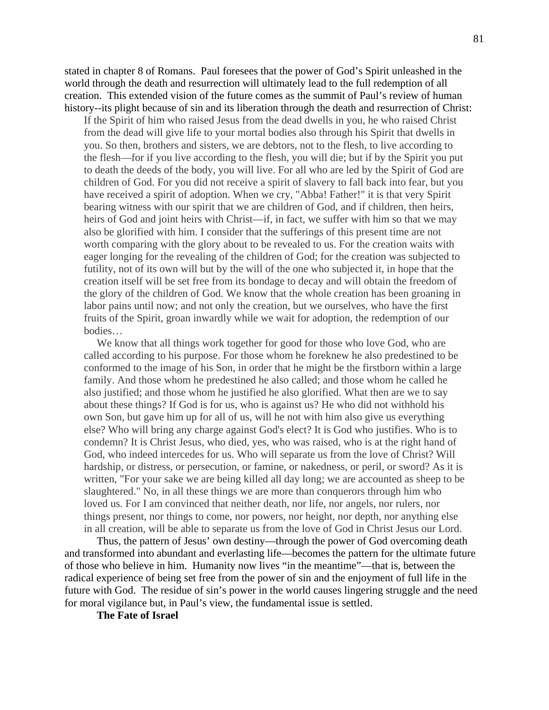stated in chapter 8 of Romans. Paul foresees that the power of God's Spirit unleashed in the world through the death and resurrection will ultimately lead to the full redemption of all creation. This extended vision of the future comes as the summit of Paul's review of human history--its plight because of sin and its liberation through the death and resurrection of Christ:

If the Spirit of him who raised Jesus from the dead dwells in you, he who raised Christ from the dead will give life to your mortal bodies also through his Spirit that dwells in you. So then, brothers and sisters, we are debtors, not to the flesh, to live according to the flesh—for if you live according to the flesh, you will die; but if by the Spirit you put to death the deeds of the body, you will live. For all who are led by the Spirit of God are children of God. For you did not receive a spirit of slavery to fall back into fear, but you have received a spirit of adoption. When we cry, "Abba! Father!" it is that very Spirit bearing witness with our spirit that we are children of God, and if children, then heirs, heirs of God and joint heirs with Christ—if, in fact, we suffer with him so that we may also be glorified with him. I consider that the sufferings of this present time are not worth comparing with the glory about to be revealed to us. For the creation waits with eager longing for the revealing of the children of God; for the creation was subjected to futility, not of its own will but by the will of the one who subjected it, in hope that the creation itself will be set free from its bondage to decay and will obtain the freedom of the glory of the children of God. We know that the whole creation has been groaning in labor pains until now; and not only the creation, but we ourselves, who have the first fruits of the Spirit, groan inwardly while we wait for adoption, the redemption of our bodies…

 We know that all things work together for good for those who love God, who are called according to his purpose. For those whom he foreknew he also predestined to be conformed to the image of his Son, in order that he might be the firstborn within a large family. And those whom he predestined he also called; and those whom he called he also justified; and those whom he justified he also glorified. What then are we to say about these things? If God is for us, who is against us? He who did not withhold his own Son, but gave him up for all of us, will he not with him also give us everything else? Who will bring any charge against God's elect? It is God who justifies. Who is to condemn? It is Christ Jesus, who died, yes, who was raised, who is at the right hand of God, who indeed intercedes for us. Who will separate us from the love of Christ? Will hardship, or distress, or persecution, or famine, or nakedness, or peril, or sword? As it is written, "For your sake we are being killed all day long; we are accounted as sheep to be slaughtered." No, in all these things we are more than conquerors through him who loved us. For I am convinced that neither death, nor life, nor angels, nor rulers, nor things present, nor things to come, nor powers, nor height, nor depth, nor anything else in all creation, will be able to separate us from the love of God in Christ Jesus our Lord.

 Thus, the pattern of Jesus' own destiny—through the power of God overcoming death and transformed into abundant and everlasting life—becomes the pattern for the ultimate future of those who believe in him. Humanity now lives "in the meantime"—that is, between the radical experience of being set free from the power of sin and the enjoyment of full life in the future with God. The residue of sin's power in the world causes lingering struggle and the need for moral vigilance but, in Paul's view, the fundamental issue is settled.

#### **The Fate of Israel**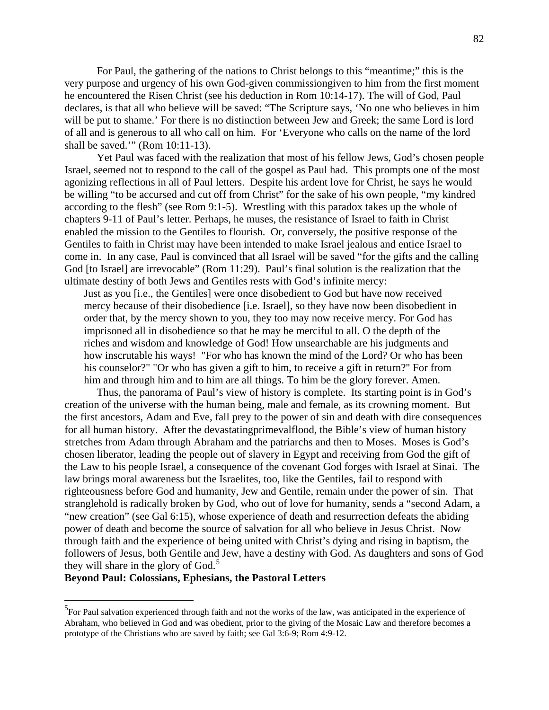For Paul, the gathering of the nations to Christ belongs to this "meantime;" this is the very purpose and urgency of his own God-given commissiongiven to him from the first moment he encountered the Risen Christ (see his deduction in Rom 10:14-17). The will of God, Paul declares, is that all who believe will be saved: "The Scripture says, 'No one who believes in him will be put to shame.' For there is no distinction between Jew and Greek; the same Lord is lord of all and is generous to all who call on him. For 'Everyone who calls on the name of the lord shall be saved.'" (Rom 10:11-13).

 Yet Paul was faced with the realization that most of his fellow Jews, God's chosen people Israel, seemed not to respond to the call of the gospel as Paul had. This prompts one of the most agonizing reflections in all of Paul letters. Despite his ardent love for Christ, he says he would be willing "to be accursed and cut off from Christ" for the sake of his own people, "my kindred according to the flesh" (see Rom 9:1-5). Wrestling with this paradox takes up the whole of chapters 9-11 of Paul's letter. Perhaps, he muses, the resistance of Israel to faith in Christ enabled the mission to the Gentiles to flourish. Or, conversely, the positive response of the Gentiles to faith in Christ may have been intended to make Israel jealous and entice Israel to come in. In any case, Paul is convinced that all Israel will be saved "for the gifts and the calling God [to Israel] are irrevocable" (Rom 11:29). Paul's final solution is the realization that the ultimate destiny of both Jews and Gentiles rests with God's infinite mercy:

Just as you [i.e., the Gentiles] were once disobedient to God but have now received mercy because of their disobedience [i.e. Israel], so they have now been disobedient in order that, by the mercy shown to you, they too may now receive mercy. For God has imprisoned all in disobedience so that he may be merciful to all. O the depth of the riches and wisdom and knowledge of God! How unsearchable are his judgments and how inscrutable his ways! "For who has known the mind of the Lord? Or who has been his counselor?" "Or who has given a gift to him, to receive a gift in return?" For from him and through him and to him are all things. To him be the glory forever. Amen.

 Thus, the panorama of Paul's view of history is complete. Its starting point is in God's creation of the universe with the human being, male and female, as its crowning moment. But the first ancestors, Adam and Eve, fall prey to the power of sin and death with dire consequences for all human history. After the devastatingprimevalflood, the Bible's view of human history stretches from Adam through Abraham and the patriarchs and then to Moses. Moses is God's chosen liberator, leading the people out of slavery in Egypt and receiving from God the gift of the Law to his people Israel, a consequence of the covenant God forges with Israel at Sinai. The law brings moral awareness but the Israelites, too, like the Gentiles, fail to respond with righteousness before God and humanity, Jew and Gentile, remain under the power of sin. That stranglehold is radically broken by God, who out of love for humanity, sends a "second Adam, a "new creation" (see Gal 6:15), whose experience of death and resurrection defeats the abiding power of death and become the source of salvation for all who believe in Jesus Christ. Now through faith and the experience of being united with Christ's dying and rising in baptism, the followers of Jesus, both Gentile and Jew, have a destiny with God. As daughters and sons of God they will share in the glory of God.<sup>[5](#page-10-0)</sup>

## **Beyond Paul: Colossians, Ephesians, the Pastoral Letters**

 $\overline{a}$ 

<span id="page-10-0"></span><sup>&</sup>lt;sup>5</sup> For Paul salvation experienced through faith and not the works of the law, was anticipated in the experience of Abraham, who believed in God and was obedient, prior to the giving of the Mosaic Law and therefore becomes a prototype of the Christians who are saved by faith; see Gal 3:6-9; Rom 4:9-12.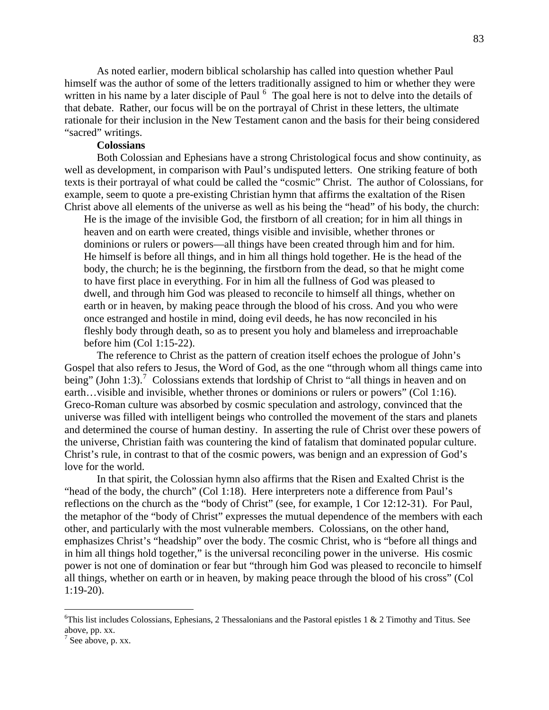As noted earlier, modern biblical scholarship has called into question whether Paul himself was the author of some of the letters traditionally assigned to him or whether they were written in his name by a later disciple of Paul  $<sup>6</sup>$  $<sup>6</sup>$  $<sup>6</sup>$  The goal here is not to delve into the details of</sup> that debate. Rather, our focus will be on the portrayal of Christ in these letters, the ultimate rationale for their inclusion in the New Testament canon and the basis for their being considered "sacred" writings.

#### **Colossians**

 Both Colossian and Ephesians have a strong Christological focus and show continuity, as well as development, in comparison with Paul's undisputed letters. One striking feature of both texts is their portrayal of what could be called the "cosmic" Christ. The author of Colossians, for example, seem to quote a pre-existing Christian hymn that affirms the exaltation of the Risen Christ above all elements of the universe as well as his being the "head" of his body, the church:

He is the image of the invisible God, the firstborn of all creation; for in him all things in heaven and on earth were created, things visible and invisible, whether thrones or dominions or rulers or powers—all things have been created through him and for him. He himself is before all things, and in him all things hold together. He is the head of the body, the church; he is the beginning, the firstborn from the dead, so that he might come to have first place in everything. For in him all the fullness of God was pleased to dwell, and through him God was pleased to reconcile to himself all things, whether on earth or in heaven, by making peace through the blood of his cross. And you who were once estranged and hostile in mind, doing evil deeds, he has now reconciled in his fleshly body through death, so as to present you holy and blameless and irreproachable before him (Col 1:15-22).

 The reference to Christ as the pattern of creation itself echoes the prologue of John's Gospel that also refers to Jesus, the Word of God, as the one "through whom all things came into being" (John 1:3).<sup>[7](#page-11-1)</sup> Colossians extends that lordship of Christ to "all things in heaven and on earth…visible and invisible, whether thrones or dominions or rulers or powers" (Col 1:16). Greco-Roman culture was absorbed by cosmic speculation and astrology, convinced that the universe was filled with intelligent beings who controlled the movement of the stars and planets and determined the course of human destiny. In asserting the rule of Christ over these powers of the universe, Christian faith was countering the kind of fatalism that dominated popular culture. Christ's rule, in contrast to that of the cosmic powers, was benign and an expression of God's love for the world.

 In that spirit, the Colossian hymn also affirms that the Risen and Exalted Christ is the "head of the body, the church" (Col 1:18). Here interpreters note a difference from Paul's reflections on the church as the "body of Christ" (see, for example, 1 Cor 12:12-31). For Paul, the metaphor of the "body of Christ" expresses the mutual dependence of the members with each other, and particularly with the most vulnerable members. Colossians, on the other hand, emphasizes Christ's "headship" over the body. The cosmic Christ, who is "before all things and in him all things hold together," is the universal reconciling power in the universe. His cosmic power is not one of domination or fear but "through him God was pleased to reconcile to himself all things, whether on earth or in heaven, by making peace through the blood of his cross" (Col 1:19-20).

1

<span id="page-11-0"></span><sup>&</sup>lt;sup>6</sup>This list includes Colossians, Ephesians, 2 Thessalonians and the Pastoral epistles 1 & 2 Timothy and Titus. See above, pp. xx.

<span id="page-11-1"></span> $7$  See above, p. xx.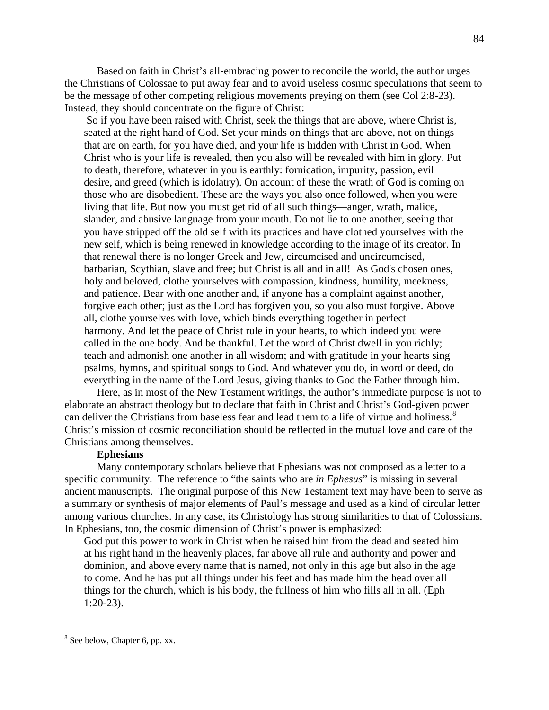Based on faith in Christ's all-embracing power to reconcile the world, the author urges the Christians of Colossae to put away fear and to avoid useless cosmic speculations that seem to be the message of other competing religious movements preying on them (see Col 2:8-23). Instead, they should concentrate on the figure of Christ:

 So if you have been raised with Christ, seek the things that are above, where Christ is, seated at the right hand of God. Set your minds on things that are above, not on things that are on earth, for you have died, and your life is hidden with Christ in God. When Christ who is your life is revealed, then you also will be revealed with him in glory. Put to death, therefore, whatever in you is earthly: fornication, impurity, passion, evil desire, and greed (which is idolatry). On account of these the wrath of God is coming on those who are disobedient. These are the ways you also once followed, when you were living that life. But now you must get rid of all such things—anger, wrath, malice, slander, and abusive language from your mouth. Do not lie to one another, seeing that you have stripped off the old self with its practices and have clothed yourselves with the new self, which is being renewed in knowledge according to the image of its creator. In that renewal there is no longer Greek and Jew, circumcised and uncircumcised, barbarian, Scythian, slave and free; but Christ is all and in all! As God's chosen ones, holy and beloved, clothe yourselves with compassion, kindness, humility, meekness, and patience. Bear with one another and, if anyone has a complaint against another, forgive each other; just as the Lord has forgiven you, so you also must forgive. Above all, clothe yourselves with love, which binds everything together in perfect harmony. And let the peace of Christ rule in your hearts, to which indeed you were called in the one body. And be thankful. Let the word of Christ dwell in you richly; teach and admonish one another in all wisdom; and with gratitude in your hearts sing psalms, hymns, and spiritual songs to God. And whatever you do, in word or deed, do everything in the name of the Lord Jesus, giving thanks to God the Father through him.

 Here, as in most of the New Testament writings, the author's immediate purpose is not to elaborate an abstract theology but to declare that faith in Christ and Christ's God-given power can deliver the Christians from baseless fear and lead them to a life of virtue and holiness.<sup>[8](#page-12-0)</sup> Christ's mission of cosmic reconciliation should be reflected in the mutual love and care of the Christians among themselves.

### **Ephesians**

 Many contemporary scholars believe that Ephesians was not composed as a letter to a specific community. The reference to "the saints who are *in Ephesus*" is missing in several ancient manuscripts. The original purpose of this New Testament text may have been to serve as a summary or synthesis of major elements of Paul's message and used as a kind of circular letter among various churches. In any case, its Christology has strong similarities to that of Colossians. In Ephesians, too, the cosmic dimension of Christ's power is emphasized:

God put this power to work in Christ when he raised him from the dead and seated him at his right hand in the heavenly places, far above all rule and authority and power and dominion, and above every name that is named, not only in this age but also in the age to come. And he has put all things under his feet and has made him the head over all things for the church, which is his body, the fullness of him who fills all in all. (Eph 1:20-23).

<u>.</u>

<span id="page-12-0"></span><sup>&</sup>lt;sup>8</sup> See below, Chapter 6, pp. xx.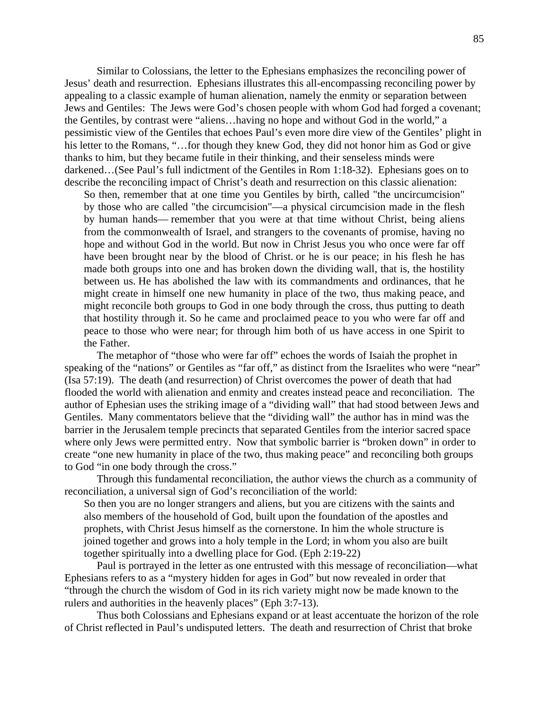Similar to Colossians, the letter to the Ephesians emphasizes the reconciling power of Jesus' death and resurrection. Ephesians illustrates this all-encompassing reconciling power by appealing to a classic example of human alienation, namely the enmity or separation between Jews and Gentiles: The Jews were God's chosen people with whom God had forged a covenant; the Gentiles, by contrast were "aliens…having no hope and without God in the world," a pessimistic view of the Gentiles that echoes Paul's even more dire view of the Gentiles' plight in his letter to the Romans, "...for though they knew God, they did not honor him as God or give thanks to him, but they became futile in their thinking, and their senseless minds were darkened…(See Paul's full indictment of the Gentiles in Rom 1:18-32). Ephesians goes on to describe the reconciling impact of Christ's death and resurrection on this classic alienation:

So then, remember that at one time you Gentiles by birth, called "the uncircumcision" by those who are called "the circumcision"—a physical circumcision made in the flesh by human hands— remember that you were at that time without Christ, being aliens from the commonwealth of Israel, and strangers to the covenants of promise, having no hope and without God in the world. But now in Christ Jesus you who once were far off have been brought near by the blood of Christ. or he is our peace; in his flesh he has made both groups into one and has broken down the dividing wall, that is, the hostility between us. He has abolished the law with its commandments and ordinances, that he might create in himself one new humanity in place of the two, thus making peace, and might reconcile both groups to God in one body through the cross, thus putting to death that hostility through it. So he came and proclaimed peace to you who were far off and peace to those who were near; for through him both of us have access in one Spirit to the Father.

 The metaphor of "those who were far off" echoes the words of Isaiah the prophet in speaking of the "nations" or Gentiles as "far off," as distinct from the Israelites who were "near" (Isa 57:19). The death (and resurrection) of Christ overcomes the power of death that had flooded the world with alienation and enmity and creates instead peace and reconciliation. The author of Ephesian uses the striking image of a "dividing wall" that had stood between Jews and Gentiles. Many commentators believe that the "dividing wall" the author has in mind was the barrier in the Jerusalem temple precincts that separated Gentiles from the interior sacred space where only Jews were permitted entry. Now that symbolic barrier is "broken down" in order to create "one new humanity in place of the two, thus making peace" and reconciling both groups to God "in one body through the cross."

 Through this fundamental reconciliation, the author views the church as a community of reconciliation, a universal sign of God's reconciliation of the world:

So then you are no longer strangers and aliens, but you are citizens with the saints and also members of the household of God, built upon the foundation of the apostles and prophets, with Christ Jesus himself as the cornerstone. In him the whole structure is joined together and grows into a holy temple in the Lord; in whom you also are built together spiritually into a dwelling place for God. (Eph 2:19-22)

 Paul is portrayed in the letter as one entrusted with this message of reconciliation—what Ephesians refers to as a "mystery hidden for ages in God" but now revealed in order that "through the church the wisdom of God in its rich variety might now be made known to the rulers and authorities in the heavenly places" (Eph 3:7-13).

 Thus both Colossians and Ephesians expand or at least accentuate the horizon of the role of Christ reflected in Paul's undisputed letters. The death and resurrection of Christ that broke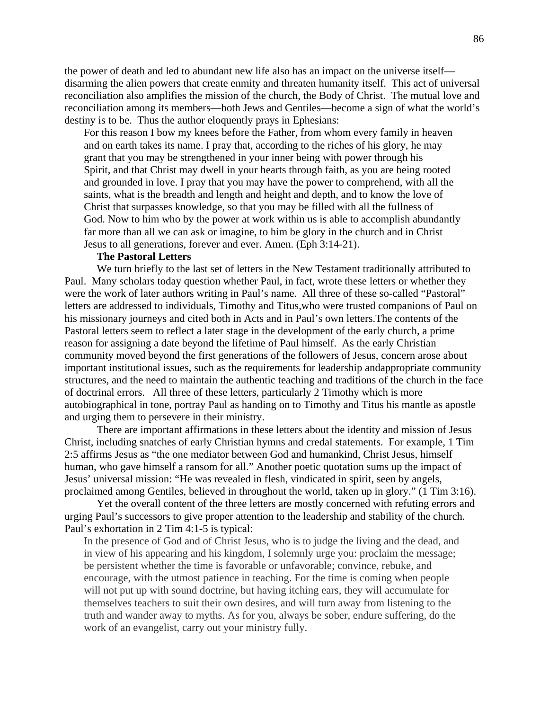the power of death and led to abundant new life also has an impact on the universe itself disarming the alien powers that create enmity and threaten humanity itself. This act of universal reconciliation also amplifies the mission of the church, the Body of Christ. The mutual love and reconciliation among its members—both Jews and Gentiles—become a sign of what the world's destiny is to be. Thus the author eloquently prays in Ephesians:

For this reason I bow my knees before the Father, from whom every family in heaven and on earth takes its name. I pray that, according to the riches of his glory, he may grant that you may be strengthened in your inner being with power through his Spirit, and that Christ may dwell in your hearts through faith, as you are being rooted and grounded in love. I pray that you may have the power to comprehend, with all the saints, what is the breadth and length and height and depth, and to know the love of Christ that surpasses knowledge, so that you may be filled with all the fullness of God. Now to him who by the power at work within us is able to accomplish abundantly far more than all we can ask or imagine, to him be glory in the church and in Christ Jesus to all generations, forever and ever. Amen. (Eph 3:14-21).

### **The Pastoral Letters**

We turn briefly to the last set of letters in the New Testament traditionally attributed to Paul. Many scholars today question whether Paul, in fact, wrote these letters or whether they were the work of later authors writing in Paul's name. All three of these so-called "Pastoral" letters are addressed to individuals, Timothy and Titus,who were trusted companions of Paul on his missionary journeys and cited both in Acts and in Paul's own letters.The contents of the Pastoral letters seem to reflect a later stage in the development of the early church, a prime reason for assigning a date beyond the lifetime of Paul himself. As the early Christian community moved beyond the first generations of the followers of Jesus, concern arose about important institutional issues, such as the requirements for leadership andappropriate community structures, and the need to maintain the authentic teaching and traditions of the church in the face of doctrinal errors. All three of these letters, particularly 2 Timothy which is more autobiographical in tone, portray Paul as handing on to Timothy and Titus his mantle as apostle and urging them to persevere in their ministry.

 There are important affirmations in these letters about the identity and mission of Jesus Christ, including snatches of early Christian hymns and credal statements. For example, 1 Tim 2:5 affirms Jesus as "the one mediator between God and humankind, Christ Jesus, himself human, who gave himself a ransom for all." Another poetic quotation sums up the impact of Jesus' universal mission: "He was revealed in flesh, vindicated in spirit, seen by angels, proclaimed among Gentiles, believed in throughout the world, taken up in glory." (1 Tim 3:16).

 Yet the overall content of the three letters are mostly concerned with refuting errors and urging Paul's successors to give proper attention to the leadership and stability of the church. Paul's exhortation in 2 Tim 4:1-5 is typical:

In the presence of God and of Christ Jesus, who is to judge the living and the dead, and in view of his appearing and his kingdom, I solemnly urge you: proclaim the message; be persistent whether the time is favorable or unfavorable; convince, rebuke, and encourage, with the utmost patience in teaching. For the time is coming when people will not put up with sound doctrine, but having itching ears, they will accumulate for themselves teachers to suit their own desires, and will turn away from listening to the truth and wander away to myths. As for you, always be sober, endure suffering, do the work of an evangelist, carry out your ministry fully.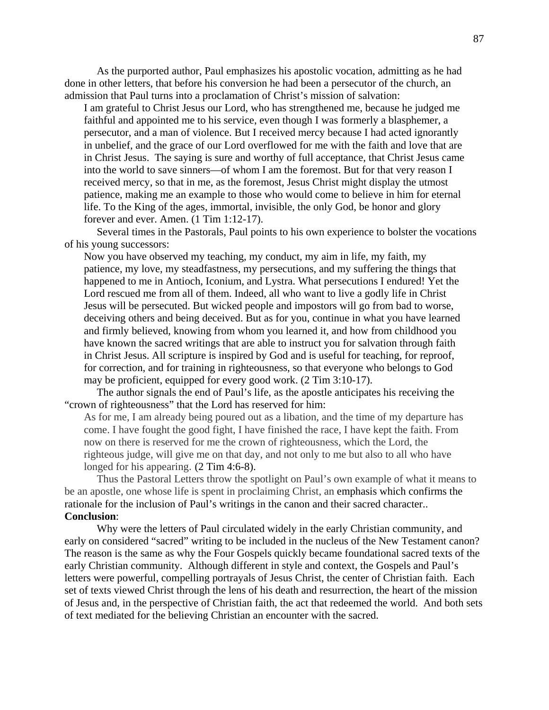As the purported author, Paul emphasizes his apostolic vocation, admitting as he had done in other letters, that before his conversion he had been a persecutor of the church, an admission that Paul turns into a proclamation of Christ's mission of salvation:

I am grateful to Christ Jesus our Lord, who has strengthened me, because he judged me faithful and appointed me to his service, even though I was formerly a blasphemer, a persecutor, and a man of violence. But I received mercy because I had acted ignorantly in unbelief, and the grace of our Lord overflowed for me with the faith and love that are in Christ Jesus. The saying is sure and worthy of full acceptance, that Christ Jesus came into the world to save sinners—of whom I am the foremost. But for that very reason I received mercy, so that in me, as the foremost, Jesus Christ might display the utmost patience, making me an example to those who would come to believe in him for eternal life. To the King of the ages, immortal, invisible, the only God, be honor and glory forever and ever. Amen. (1 Tim 1:12-17).

 Several times in the Pastorals, Paul points to his own experience to bolster the vocations of his young successors:

Now you have observed my teaching, my conduct, my aim in life, my faith, my patience, my love, my steadfastness, my persecutions, and my suffering the things that happened to me in Antioch, Iconium, and Lystra. What persecutions I endured! Yet the Lord rescued me from all of them. Indeed, all who want to live a godly life in Christ Jesus will be persecuted. But wicked people and impostors will go from bad to worse, deceiving others and being deceived. But as for you, continue in what you have learned and firmly believed, knowing from whom you learned it, and how from childhood you have known the sacred writings that are able to instruct you for salvation through faith in Christ Jesus. All scripture is inspired by God and is useful for teaching, for reproof, for correction, and for training in righteousness, so that everyone who belongs to God may be proficient, equipped for every good work. (2 Tim 3:10-17).

 The author signals the end of Paul's life, as the apostle anticipates his receiving the "crown of righteousness" that the Lord has reserved for him:

As for me, I am already being poured out as a libation, and the time of my departure has come. I have fought the good fight, I have finished the race, I have kept the faith. From now on there is reserved for me the crown of righteousness, which the Lord, the righteous judge, will give me on that day, and not only to me but also to all who have longed for his appearing.  $(2 \text{ Tim } 4:6-8)$ .

 Thus the Pastoral Letters throw the spotlight on Paul's own example of what it means to be an apostle, one whose life is spent in proclaiming Christ, an emphasis which confirms the rationale for the inclusion of Paul's writings in the canon and their sacred character.. **Conclusion**:

 Why were the letters of Paul circulated widely in the early Christian community, and early on considered "sacred" writing to be included in the nucleus of the New Testament canon? The reason is the same as why the Four Gospels quickly became foundational sacred texts of the early Christian community. Although different in style and context, the Gospels and Paul's letters were powerful, compelling portrayals of Jesus Christ, the center of Christian faith. Each set of texts viewed Christ through the lens of his death and resurrection, the heart of the mission of Jesus and, in the perspective of Christian faith, the act that redeemed the world. And both sets of text mediated for the believing Christian an encounter with the sacred.